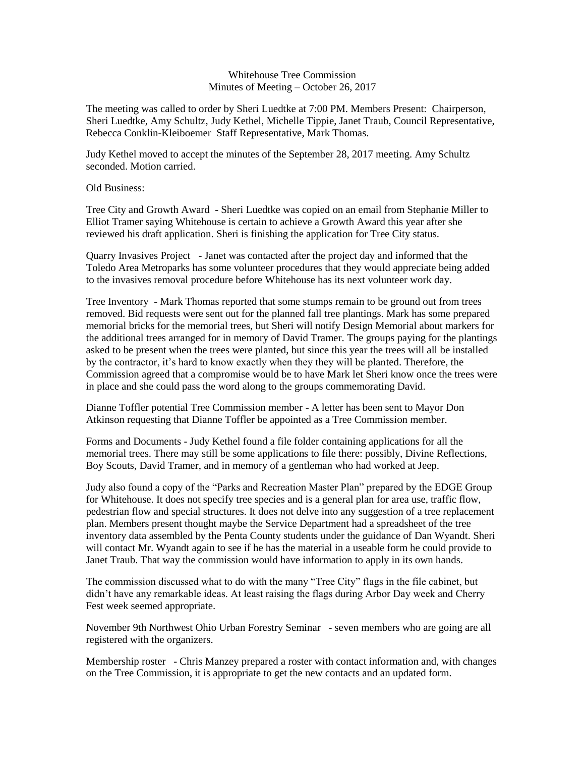## Whitehouse Tree Commission Minutes of Meeting – October 26, 2017

The meeting was called to order by Sheri Luedtke at 7:00 PM. Members Present: Chairperson, Sheri Luedtke, Amy Schultz, Judy Kethel, Michelle Tippie, Janet Traub, Council Representative, Rebecca Conklin-Kleiboemer Staff Representative, Mark Thomas.

Judy Kethel moved to accept the minutes of the September 28, 2017 meeting. Amy Schultz seconded. Motion carried.

Old Business:

Tree City and Growth Award - Sheri Luedtke was copied on an email from Stephanie Miller to Elliot Tramer saying Whitehouse is certain to achieve a Growth Award this year after she reviewed his draft application. Sheri is finishing the application for Tree City status.

Quarry Invasives Project - Janet was contacted after the project day and informed that the Toledo Area Metroparks has some volunteer procedures that they would appreciate being added to the invasives removal procedure before Whitehouse has its next volunteer work day.

Tree Inventory - Mark Thomas reported that some stumps remain to be ground out from trees removed. Bid requests were sent out for the planned fall tree plantings. Mark has some prepared memorial bricks for the memorial trees, but Sheri will notify Design Memorial about markers for the additional trees arranged for in memory of David Tramer. The groups paying for the plantings asked to be present when the trees were planted, but since this year the trees will all be installed by the contractor, it's hard to know exactly when they they will be planted. Therefore, the Commission agreed that a compromise would be to have Mark let Sheri know once the trees were in place and she could pass the word along to the groups commemorating David.

Dianne Toffler potential Tree Commission member - A letter has been sent to Mayor Don Atkinson requesting that Dianne Toffler be appointed as a Tree Commission member.

Forms and Documents - Judy Kethel found a file folder containing applications for all the memorial trees. There may still be some applications to file there: possibly, Divine Reflections, Boy Scouts, David Tramer, and in memory of a gentleman who had worked at Jeep.

Judy also found a copy of the "Parks and Recreation Master Plan" prepared by the EDGE Group for Whitehouse. It does not specify tree species and is a general plan for area use, traffic flow, pedestrian flow and special structures. It does not delve into any suggestion of a tree replacement plan. Members present thought maybe the Service Department had a spreadsheet of the tree inventory data assembled by the Penta County students under the guidance of Dan Wyandt. Sheri will contact Mr. Wyandt again to see if he has the material in a useable form he could provide to Janet Traub. That way the commission would have information to apply in its own hands.

The commission discussed what to do with the many "Tree City" flags in the file cabinet, but didn't have any remarkable ideas. At least raising the flags during Arbor Day week and Cherry Fest week seemed appropriate.

November 9th Northwest Ohio Urban Forestry Seminar - seven members who are going are all registered with the organizers.

Membership roster - Chris Manzey prepared a roster with contact information and, with changes on the Tree Commission, it is appropriate to get the new contacts and an updated form.